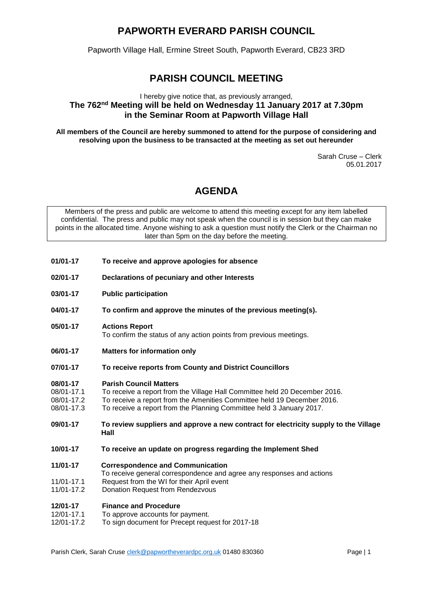# **PAPWORTH EVERARD PARISH COUNCIL**

Papworth Village Hall, Ermine Street South, Papworth Everard, CB23 3RD

# **PARISH COUNCIL MEETING**

### I hereby give notice that, as previously arranged, **The 762 nd Meeting will be held on Wednesday 11 January 2017 at 7.30pm in the Seminar Room at Papworth Village Hall**

**All members of the Council are hereby summoned to attend for the purpose of considering and resolving upon the business to be transacted at the meeting as set out hereunder**

> Sarah Cruse – Clerk 05.01.2017

## **AGENDA**

Members of the press and public are welcome to attend this meeting except for any item labelled confidential. The press and public may not speak when the council is in session but they can make points in the allocated time. Anyone wishing to ask a question must notify the Clerk or the Chairman no later than 5pm on the day before the meeting.

- **01/01-17 To receive and approve apologies for absence**
- **02/01-17 Declarations of pecuniary and other Interests**
- **03/01-17 Public participation**
- **04/01-17 To confirm and approve the minutes of the previous meeting(s).**
- **05/01-17 Actions Report** To confirm the status of any action points from previous meetings.
- **06/01-17 Matters for information only**
- **07/01-17 To receive reports from County and District Councillors**

#### **08/01-17 Parish Council Matters**

- 08/01-17.1 To receive a report from the Village Hall Committee held 20 December 2016.
- 08/01-17.2 To receive a report from the Amenities Committee held 19 December 2016.
- 08/01-17.3 To receive a report from the Planning Committee held 3 January 2017.
- **09/01-17 To review suppliers and approve a new contract for electricity supply to the Village Hall**
- **10/01-17 To receive an update on progress regarding the Implement Shed**
- **11/01-17 Correspondence and Communication**
- To receive general correspondence and agree any responses and actions
- 11/01-17.1 Request from the WI for their April event
- 11/01-17.2 Donation Request from Rendezvous

#### **12/01-17 Finance and Procedure**

- 12/01-17.1 To approve accounts for payment.
- 12/01-17.2 To sign document for Precept request for 2017-18